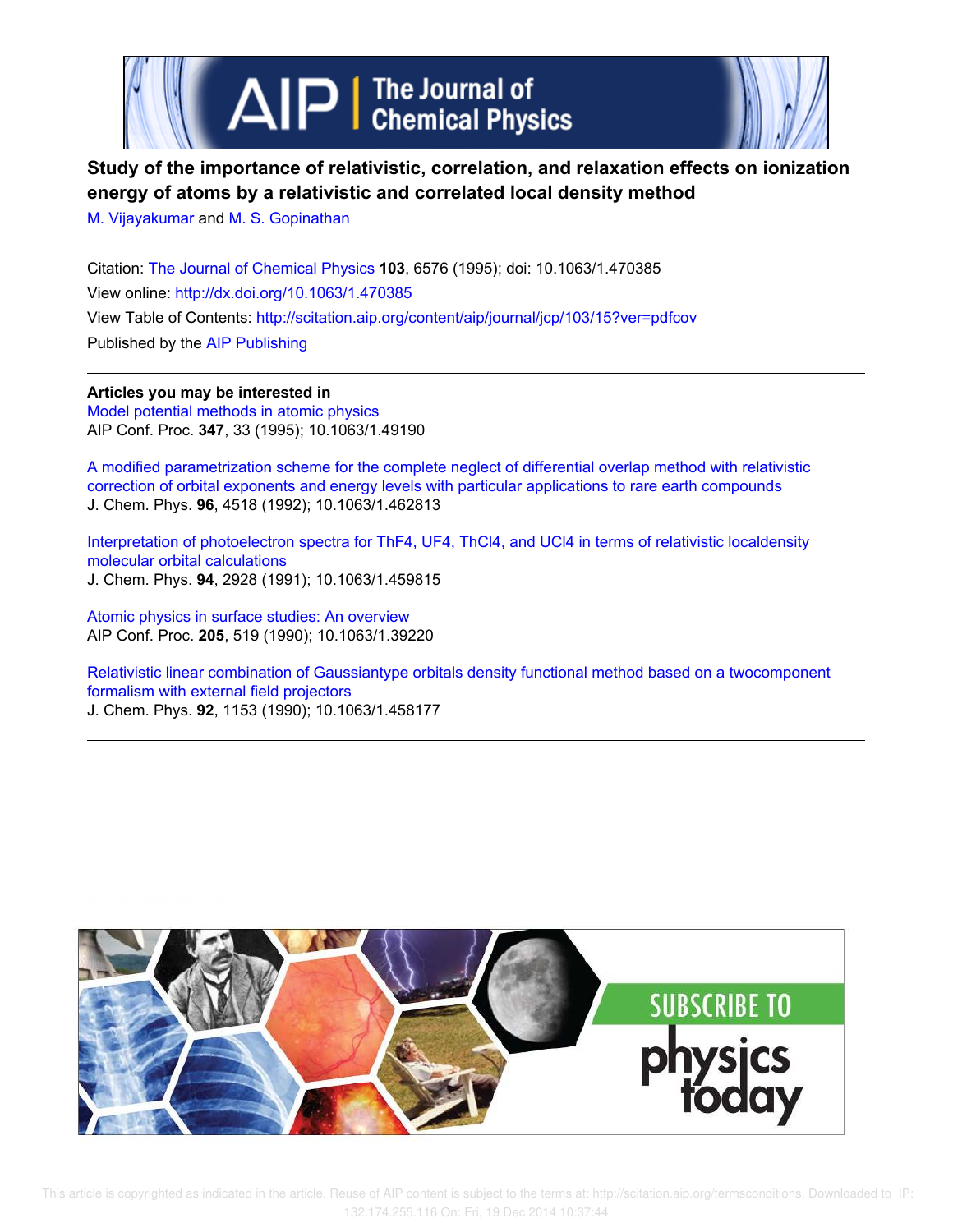

# **Study of the importance of relativistic, correlation, and relaxation effects on ionization energy of atoms by a relativistic and correlated local density method**

M. Vijayakumar and M. S. Gopinathan

Citation: The Journal of Chemical Physics **103**, 6576 (1995); doi: 10.1063/1.470385 View online: http://dx.doi.org/10.1063/1.470385 View Table of Contents: http://scitation.aip.org/content/aip/journal/jcp/103/15?ver=pdfcov Published by the AIP Publishing

**Articles you may be interested in** Model potential methods in atomic physics AIP Conf. Proc. **347**, 33 (1995); 10.1063/1.49190

A modified parametrization scheme for the complete neglect of differential overlap method with relativistic correction of orbital exponents and energy levels with particular applications to rare earth compounds J. Chem. Phys. **96**, 4518 (1992); 10.1063/1.462813

Interpretation of photoelectron spectra for ThF4, UF4, ThCl4, and UCl4 in terms of relativistic localdensity molecular orbital calculations J. Chem. Phys. **94**, 2928 (1991); 10.1063/1.459815

Atomic physics in surface studies: An overview AIP Conf. Proc. **205**, 519 (1990); 10.1063/1.39220

Relativistic linear combination of Gaussiantype orbitals density functional method based on a twocomponent formalism with external field projectors J. Chem. Phys. **92**, 1153 (1990); 10.1063/1.458177

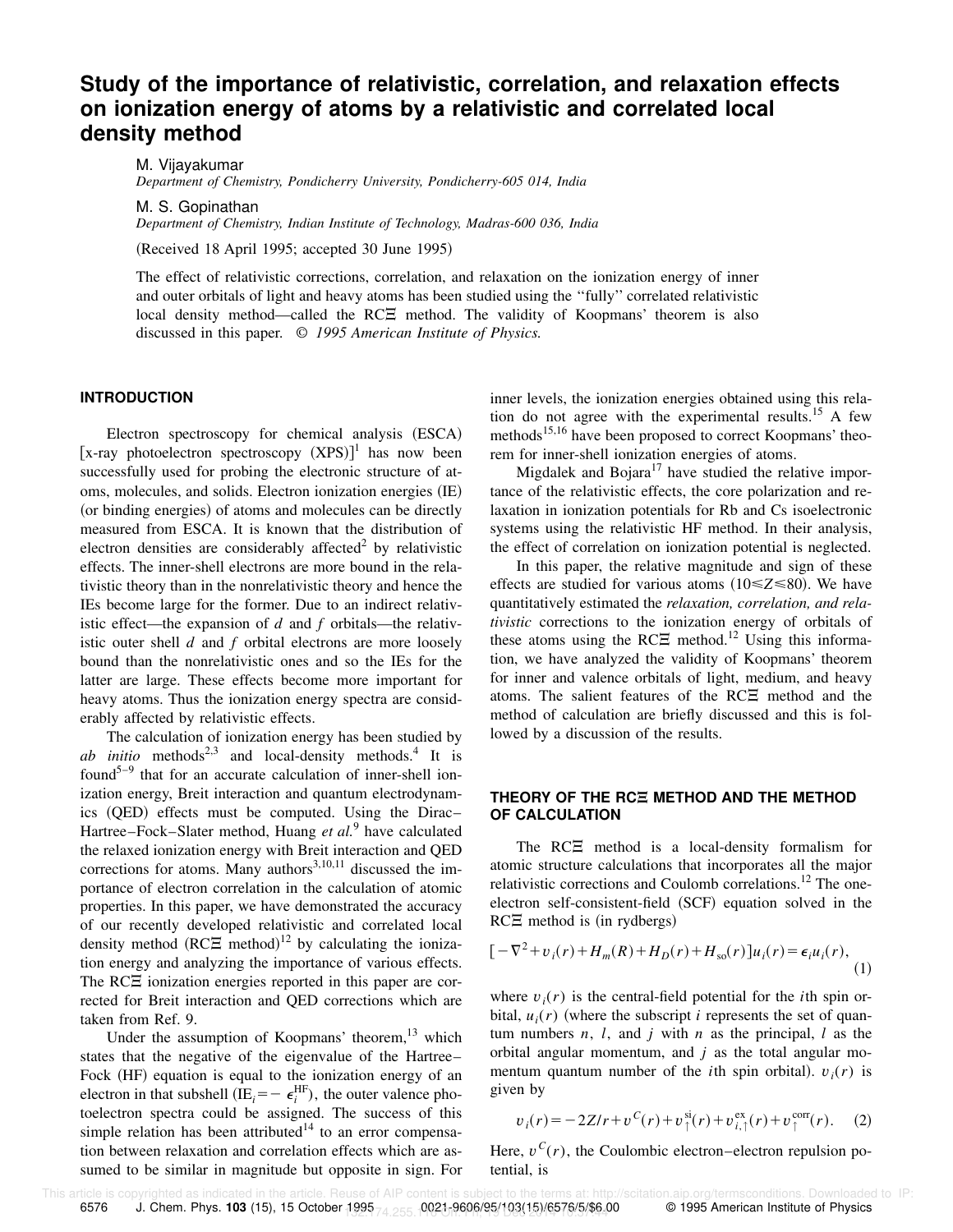## **Study of the importance of relativistic, correlation, and relaxation effects on ionization energy of atoms by a relativistic and correlated local density method**

M. Vijayakumar *Department of Chemistry, Pondicherry University, Pondicherry-605 014, India*

M. S. Gopinathan

*Department of Chemistry, Indian Institute of Technology, Madras-600 036, India*

(Received 18 April 1995; accepted 30 June 1995)

The effect of relativistic corrections, correlation, and relaxation on the ionization energy of inner and outer orbitals of light and heavy atoms has been studied using the ''fully'' correlated relativistic local density method—called the  $RCZ$  method. The validity of Koopmans' theorem is also discussed in this paper. © *1995 American Institute of Physics.*

### **INTRODUCTION**

Electron spectroscopy for chemical analysis (ESCA) [x-ray photoelectron spectroscopy  $(XPS)$ ]<sup>1</sup> has now been successfully used for probing the electronic structure of atoms, molecules, and solids. Electron ionization energies (IE) (or binding energies) of atoms and molecules can be directly measured from ESCA. It is known that the distribution of electron densities are considerably affected $2$  by relativistic effects. The inner-shell electrons are more bound in the relativistic theory than in the nonrelativistic theory and hence the IEs become large for the former. Due to an indirect relativistic effect—the expansion of *d* and *f* orbitals—the relativistic outer shell *d* and *f* orbital electrons are more loosely bound than the nonrelativistic ones and so the IEs for the latter are large. These effects become more important for heavy atoms. Thus the ionization energy spectra are considerably affected by relativistic effects.

The calculation of ionization energy has been studied by  $ab$  *initio* methods<sup>2,3</sup> and local-density methods.<sup>4</sup> It is found<sup>5–9</sup> that for an accurate calculation of inner-shell ionization energy, Breit interaction and quantum electrodynam $ics$  (QED) effects must be computed. Using the Dirac– Hartree–Fock–Slater method, Huang *et al.*<sup>9</sup> have calculated the relaxed ionization energy with Breit interaction and QED corrections for atoms. Many authors<sup>3,10,11</sup> discussed the importance of electron correlation in the calculation of atomic properties. In this paper, we have demonstrated the accuracy of our recently developed relativistic and correlated local density method  $(RC\Xi \text{ method})^{12}$  by calculating the ionization energy and analyzing the importance of various effects. The  $RC\Xi$  ionization energies reported in this paper are corrected for Breit interaction and QED corrections which are taken from Ref. 9.

Under the assumption of Koopmans' theorem,<sup>13</sup> which states that the negative of the eigenvalue of the Hartree– Fock (HF) equation is equal to the ionization energy of an electron in that subshell (IE<sub>*i*</sub> =  $\epsilon_i^{\text{HF}}$ ), the outer valence photoelectron spectra could be assigned. The success of this simple relation has been attributed $14$  to an error compensation between relaxation and correlation effects which are assumed to be similar in magnitude but opposite in sign. For inner levels, the ionization energies obtained using this relation do not agree with the experimental results.<sup>15</sup> A few methods<sup>15,16</sup> have been proposed to correct Koopmans' theorem for inner-shell ionization energies of atoms.

Migdalek and Bojara $17$  have studied the relative importance of the relativistic effects, the core polarization and relaxation in ionization potentials for Rb and Cs isoelectronic systems using the relativistic HF method. In their analysis, the effect of correlation on ionization potential is neglected.

In this paper, the relative magnitude and sign of these effects are studied for various atoms  $(10 \le Z \le 80)$ . We have quantitatively estimated the *relaxation, correlation, and relativistic* corrections to the ionization energy of orbitals of these atoms using the RC $\Xi$  method.<sup>12</sup> Using this information, we have analyzed the validity of Koopmans' theorem for inner and valence orbitals of light, medium, and heavy atoms. The salient features of the  $RC\Xi$  method and the method of calculation are briefly discussed and this is followed by a discussion of the results.

### **THEORY OF THE RCE METHOD AND THE METHOD OF CALCULATION**

The  $RC\Xi$  method is a local-density formalism for atomic structure calculations that incorporates all the major relativistic corrections and Coulomb correlations.<sup>12</sup> The oneelectron self-consistent-field (SCF) equation solved in the  $RC\Xi$  method is (in rydbergs)

$$
\left[-\nabla^2 + v_i(r) + H_m(R) + H_D(r) + H_{so}(r)\right]u_i(r) = \epsilon_i u_i(r),\tag{1}
$$

where  $v_i(r)$  is the central-field potential for the *i*th spin orbital,  $u_i(r)$  (where the subscript *i* represents the set of quantum numbers *n*, *l*, and *j* with *n* as the principal, *l* as the orbital angular momentum, and *j* as the total angular momentum quantum number of the *i*th spin orbital).  $v_i(r)$  is given by

$$
v_i(r) = -2Z/r + v^{C}(r) + v^{\text{si}}_{\uparrow}(r) + v^{\text{ex}}_{i,\uparrow}(r) + v^{\text{corr}}_{\uparrow}(r). \quad (2)
$$

Here,  $v^C(r)$ , the Coulombic electron–electron repulsion potential, is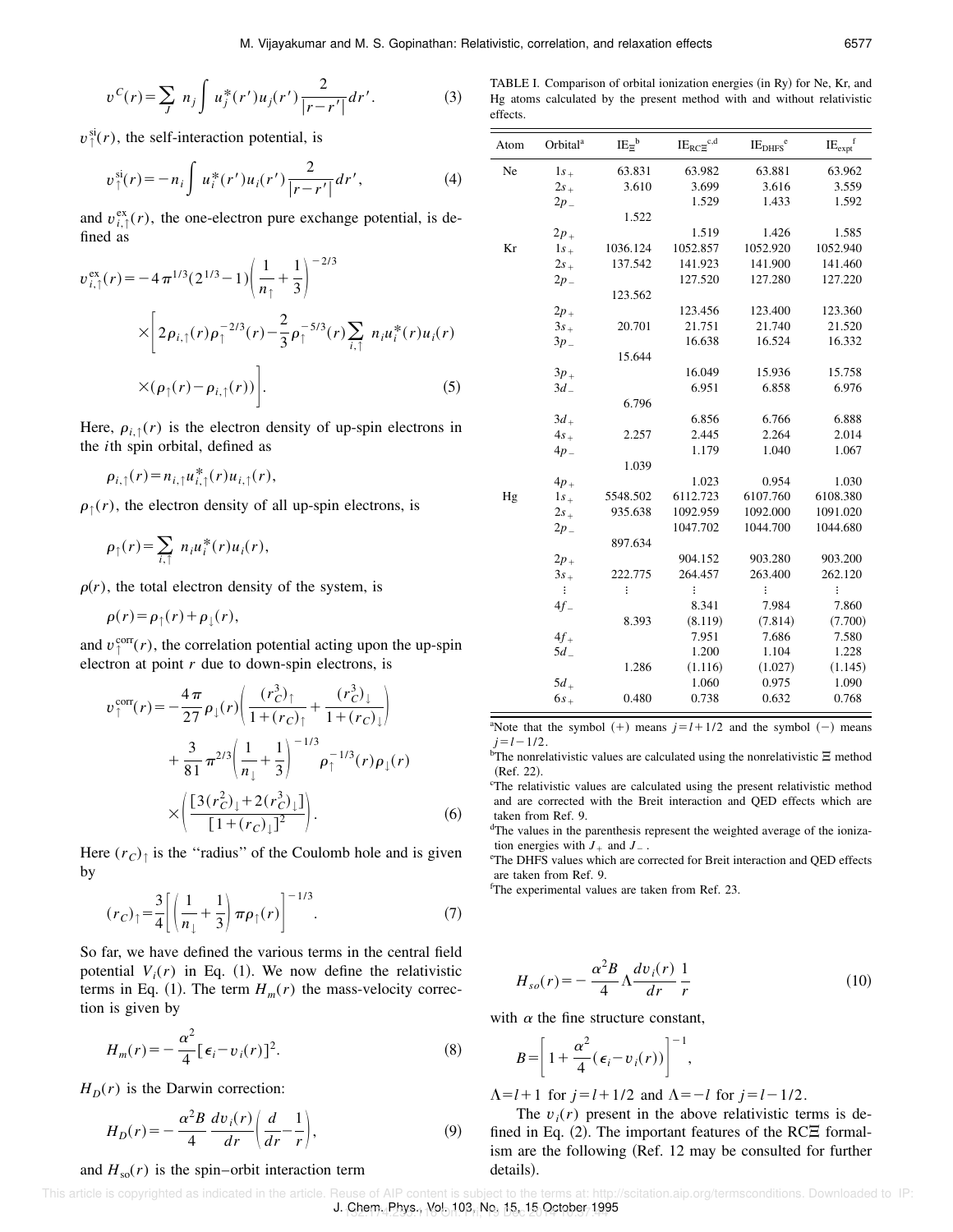$$
v^{C}(r) = \sum_{J} n_{j} \int u_{j}^{*}(r') u_{j}(r') \frac{2}{|r - r'|} dr'. \tag{3}
$$

 $v^{\text{si}}_{\uparrow}(r)$ , the self-interaction potential, is

$$
v_{\uparrow}^{\text{si}}(r) = -n_i \int u_i^*(r') u_i(r') \frac{2}{|r - r'|} dr', \tag{4}
$$

and  $v_{i,\uparrow}^{\text{ex}}(r)$ , the one-electron pure exchange potential, is defined as

$$
v_{i,\uparrow}^{\text{ex}}(r) = -4\pi^{1/3} (2^{1/3} - 1) \left( \frac{1}{n_{\uparrow}} + \frac{1}{3} \right)^{-2/3}
$$
  
 
$$
\times \left[ 2\rho_{i,\uparrow}(r)\rho_{\uparrow}^{-2/3}(r) - \frac{2}{3}\rho_{\uparrow}^{-5/3}(r) \sum_{i,\uparrow} n_{i} u_{i}^{*}(r) u_{i}(r) + \times (\rho_{\uparrow}(r) - \rho_{i,\uparrow}(r)) \right].
$$
 (5)

Here,  $\rho_{i,\uparrow}(r)$  is the electron density of up-spin electrons in the *i*th spin orbital, defined as

$$
\rho_{i,\uparrow}(r) = n_{i,\uparrow} u_{i,\uparrow}^*(r) u_{i,\uparrow}(r),
$$

 $\rho_{\uparrow}(r)$ , the electron density of all up-spin electrons, is

$$
\rho_{\uparrow}(r) = \sum_{i,\uparrow} n_i u_i^*(r) u_i(r),
$$

 $\rho(r)$ , the total electron density of the system, is

$$
\rho(r) = \rho_{\uparrow}(r) + \rho_{\downarrow}(r),
$$

and  $v_{\uparrow}^{\text{corr}}(r)$ , the correlation potential acting upon the up-spin electron at point *r* due to down-spin electrons, is

$$
v_{\uparrow}^{\text{corr}}(r) = -\frac{4\pi}{27} \rho_{\downarrow}(r) \left( \frac{(r_C^3)_{\uparrow}}{1 + (r_C)_{\uparrow}} + \frac{(r_C^3)_{\downarrow}}{1 + (r_C)_{\downarrow}} \right) + \frac{3}{81} \pi^{2/3} \left( \frac{1}{n_{\downarrow}} + \frac{1}{3} \right)^{-1/3} \rho_{\uparrow}^{-1/3}(r) \rho_{\downarrow}(r) \times \left( \frac{[3(r_C^2)_{\downarrow} + 2(r_C^3)_{\downarrow}]}{[1 + (r_C)_{\downarrow}]^2} \right).
$$
 (6)

Here  $(r_C)$ <sub> $\uparrow$ </sub> is the "radius" of the Coulomb hole and is given by

$$
(r_C)_{\uparrow} = \frac{3}{4} \left[ \left( \frac{1}{n_{\downarrow}} + \frac{1}{3} \right) \pi \rho_{\uparrow}(r) \right]^{-1/3}.
$$
 (7)

So far, we have defined the various terms in the central field potential  $V_i(r)$  in Eq. (1). We now define the relativistic terms in Eq. (1). The term  $H_m(r)$  the mass-velocity correction is given by

$$
H_m(r) = -\frac{\alpha^2}{4} \left[ \epsilon_i - v_i(r) \right]^2. \tag{8}
$$

 $H<sub>D</sub>(r)$  is the Darwin correction:

$$
H_D(r) = -\frac{\alpha^2 B}{4} \frac{dv_i(r)}{dr} \left(\frac{d}{dr} - \frac{1}{r}\right),\tag{9}
$$

#### and  $H_{\rm so}(r)$  is the spin–orbit interaction term

TABLE I. Comparison of orbital ionization energies (in Ry) for Ne, Kr, and Hg atoms calculated by the present method with and without relativistic effects.

| Atom | Orbital <sup>a</sup> | $IE_{\Xi}^{\phantom{\dag}b}$ | $\text{IE}_{\text{RCE}}^{\text{c,d}}$ | IE <sub>DHFS</sub> <sup>e</sup> | $IE_{expt}$ <sup>f</sup> |
|------|----------------------|------------------------------|---------------------------------------|---------------------------------|--------------------------|
| Ne   | $1s_{+}$             | 63.831                       | 63.982                                | 63.881                          | 63.962                   |
|      | $2s_{+}$             | 3.610                        | 3.699                                 | 3.616                           | 3.559                    |
|      | $2p_{-}$             |                              | 1.529                                 | 1.433                           | 1.592                    |
|      |                      | 1.522                        |                                       |                                 |                          |
|      | $2p_{+}$             |                              | 1.519                                 | 1.426                           | 1.585                    |
| Kr   | $1s_{+}$             | 1036.124                     | 1052.857                              | 1052.920                        | 1052.940                 |
|      | $2s_{+}$             | 137.542                      | 141.923                               | 141.900                         | 141.460                  |
|      | $2p_{-}$             |                              | 127.520                               | 127.280                         | 127.220                  |
|      |                      | 123.562                      |                                       |                                 |                          |
|      | $2p_{+}$             |                              | 123.456                               | 123.400                         | 123.360                  |
|      | $3s_{+}$             | 20.701                       | 21.751                                | 21.740                          | 21.520                   |
|      | $3p_{-}$             |                              | 16.638                                | 16.524                          | 16.332                   |
|      |                      | 15.644                       |                                       |                                 |                          |
|      | $3p_+$               |                              | 16.049                                | 15.936                          | 15.758                   |
|      | $3d_{-}$             |                              | 6.951                                 | 6.858                           | 6.976                    |
|      |                      | 6.796                        |                                       |                                 |                          |
|      | $3d_{+}$             |                              | 6.856                                 | 6.766                           | 6.888                    |
|      | $4s_{+}$             | 2.257                        | 2.445                                 | 2.264                           | 2.014                    |
|      | $4p_{-}$             |                              | 1.179                                 | 1.040                           | 1.067                    |
|      |                      | 1.039                        |                                       |                                 |                          |
|      | $4p_{+}$             |                              | 1.023                                 | 0.954                           | 1.030                    |
| Hg   | $1s_{+}$             | 5548.502                     | 6112.723                              | 6107.760                        | 6108.380                 |
|      | $2s_{+}$             | 935.638                      | 1092.959                              | 1092.000                        | 1091.020                 |
|      | $2p_{-}$             |                              | 1047.702                              | 1044.700                        | 1044.680                 |
|      |                      | 897.634                      |                                       |                                 |                          |
|      | $2p_+$               |                              | 904.152                               | 903.280                         | 903.200                  |
|      | $3s_{+}$             | 222.775                      | 264.457                               | 263.400                         | 262.120                  |
|      | ÷                    | $\vdots$                     | $\vdots$                              | $\vdots$                        | $\vdots$                 |
|      | $4f_{-}$             |                              | 8.341                                 | 7.984                           | 7.860                    |
|      |                      | 8.393                        | (8.119)                               | (7.814)                         | (7.700)                  |
|      | $4f_{+}$             |                              | 7.951                                 | 7.686                           | 7.580                    |
|      | $5d_{-}$             |                              | 1.200                                 | 1.104                           | 1.228                    |
|      |                      | 1.286                        | (1.116)                               | (1.027)                         | (1.145)                  |
|      | $5d_{+}$             |                              | 1.060                                 | 0.975                           | 1.090                    |
|      | $6s+$                | 0.480                        | 0.738                                 | 0.632                           | 0.768                    |

<sup>a</sup>Note that the symbol  $(+)$  means  $j=l+1/2$  and the symbol  $(-)$  means  $j=l-1/2$ .

 $\overline{b}$ The nonrelativistic values are calculated using the nonrelativistic  $\Xi$  method (Ref. 22).

 $c$ The relativistic values are calculated using the present relativistic method and are corrected with the Breit interaction and QED effects which are taken from Ref. 9.

<sup>d</sup>The values in the parenthesis represent the weighted average of the ionization energies with  $J_+$  and  $J_-$ .

<sup>e</sup>The DHFS values which are corrected for Breit interaction and QED effects are taken from Ref. 9.

<sup>f</sup>The experimental values are taken from Ref. 23.

$$
H_{so}(r) = -\frac{\alpha^2 B}{4} \Lambda \frac{dv_i(r)}{dr} \frac{1}{r}
$$
 (10)

,

with  $\alpha$  the fine structure constant,

$$
B = \left[1 + \frac{\alpha^2}{4} (\epsilon_i - v_i(r))\right]^{-1}
$$

 $\Lambda = l + 1$  for  $j = l + 1/2$  and  $\Lambda = -l$  for  $j = l - 1/2$ .

The  $v_i(r)$  present in the above relativistic terms is defined in Eq.  $(2)$ . The important features of the RC $\Xi$  formalism are the following (Ref. 12 may be consulted for further details).

J. Chem. Phys., Yol. 103, No. 15, 15 October 1995 This article is copyrighted as indicated in the article. Reuse of AIP content is subject to the terms at: http://scitation.aip.org/termsconditions. Downloaded to IP: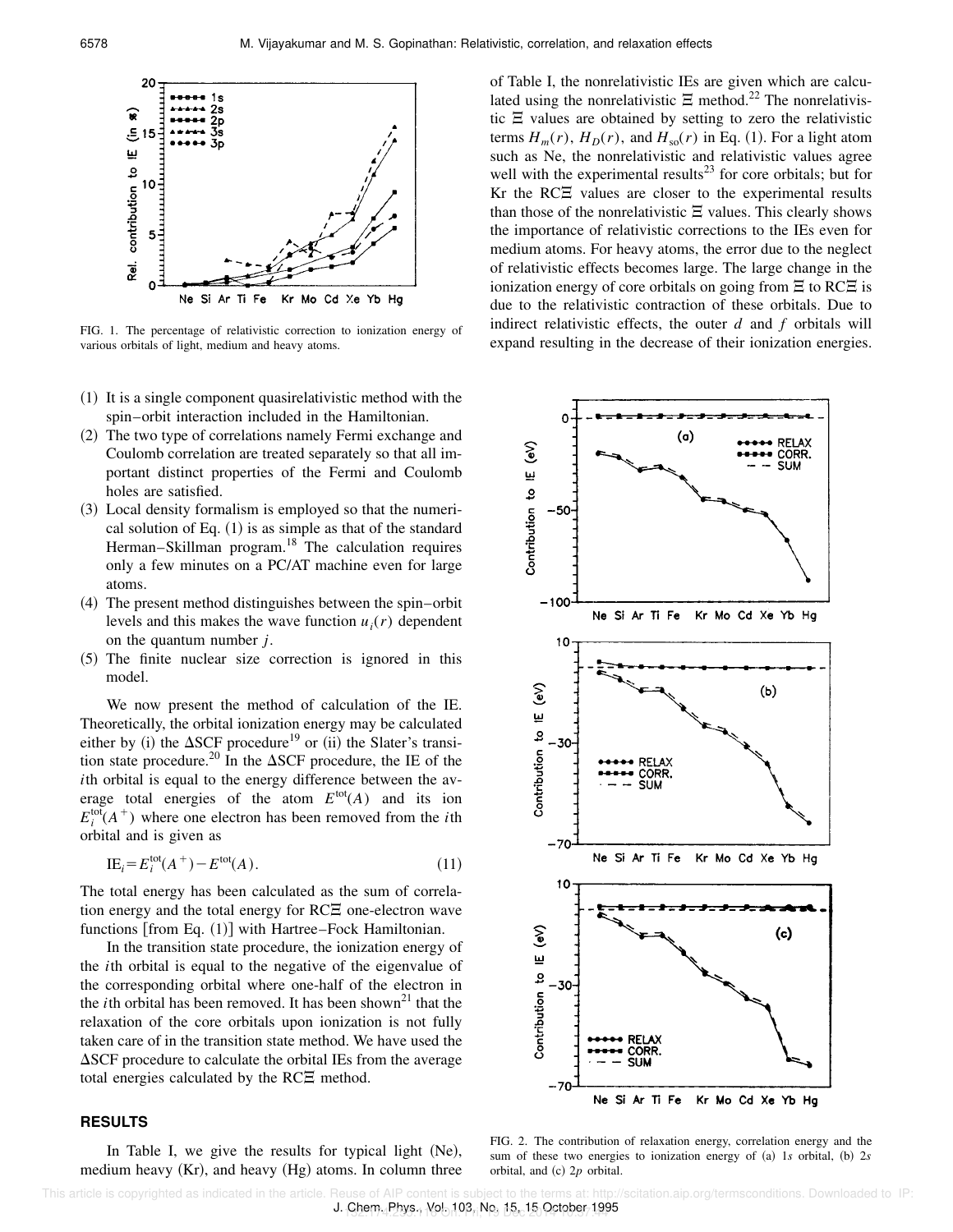

FIG. 1. The percentage of relativistic correction to ionization energy of various orbitals of light, medium and heavy atoms.

- $(1)$  It is a single component quasirelativistic method with the spin–orbit interaction included in the Hamiltonian.
- ~2! The two type of correlations namely Fermi exchange and Coulomb correlation are treated separately so that all important distinct properties of the Fermi and Coulomb holes are satisfied.
- $(3)$  Local density formalism is employed so that the numerical solution of Eq.  $(1)$  is as simple as that of the standard Herman–Skillman program.<sup>18</sup> The calculation requires only a few minutes on a PC/AT machine even for large atoms.
- $(4)$  The present method distinguishes between the spin–orbit levels and this makes the wave function  $u_i(r)$  dependent on the quantum number *j*.
- ~5! The finite nuclear size correction is ignored in this model.

We now present the method of calculation of the IE. Theoretically, the orbital ionization energy may be calculated either by (i) the  $\Delta$ SCF procedure<sup>19</sup> or (ii) the Slater's transition state procedure.<sup>20</sup> In the  $\Delta$ SCF procedure, the IE of the *i*th orbital is equal to the energy difference between the average total energies of the atom  $E^{\text{tot}}(A)$  and its ion  $E_i^{\text{tot}}(A^+)$  where one electron has been removed from the *i*th orbital and is given as

$$
IEi = Eitot(A+) – Etot(A).
$$
 (11)

The total energy has been calculated as the sum of correlation energy and the total energy for  $RCE$  one-electron wave functions  $[from Eq. (1)]$  with Hartree–Fock Hamiltonian.

In the transition state procedure, the ionization energy of the *i*th orbital is equal to the negative of the eigenvalue of the corresponding orbital where one-half of the electron in the *i*th orbital has been removed. It has been shown<sup>21</sup> that the relaxation of the core orbitals upon ionization is not fully taken care of in the transition state method. We have used the  $\Delta$ SCF procedure to calculate the orbital IEs from the average total energies calculated by the  $RC\Xi$  method.

## **RESULTS**

In Table I, we give the results for typical light  $(Ne)$ , medium heavy  $(Kr)$ , and heavy  $(Hg)$  atoms. In column three of Table I, the nonrelativistic IEs are given which are calculated using the nonrelativistic  $\Xi$  method.<sup>22</sup> The nonrelativistic  $\Xi$  values are obtained by setting to zero the relativistic terms  $H_m(r)$ ,  $H_D(r)$ , and  $H_{so}(r)$  in Eq. (1). For a light atom such as Ne, the nonrelativistic and relativistic values agree well with the experimental results<sup>23</sup> for core orbitals; but for Kr the  $RC\Xi$  values are closer to the experimental results than those of the nonrelativistic  $\Xi$  values. This clearly shows the importance of relativistic corrections to the IEs even for medium atoms. For heavy atoms, the error due to the neglect of relativistic effects becomes large. The large change in the ionization energy of core orbitals on going from  $\Xi$  to RC $\Xi$  is due to the relativistic contraction of these orbitals. Due to indirect relativistic effects, the outer *d* and *f* orbitals will expand resulting in the decrease of their ionization energies.



FIG. 2. The contribution of relaxation energy, correlation energy and the sum of these two energies to ionization energy of (a) 1*s* orbital, (b) 2*s* orbital, and  $(c)$  2*p* orbital.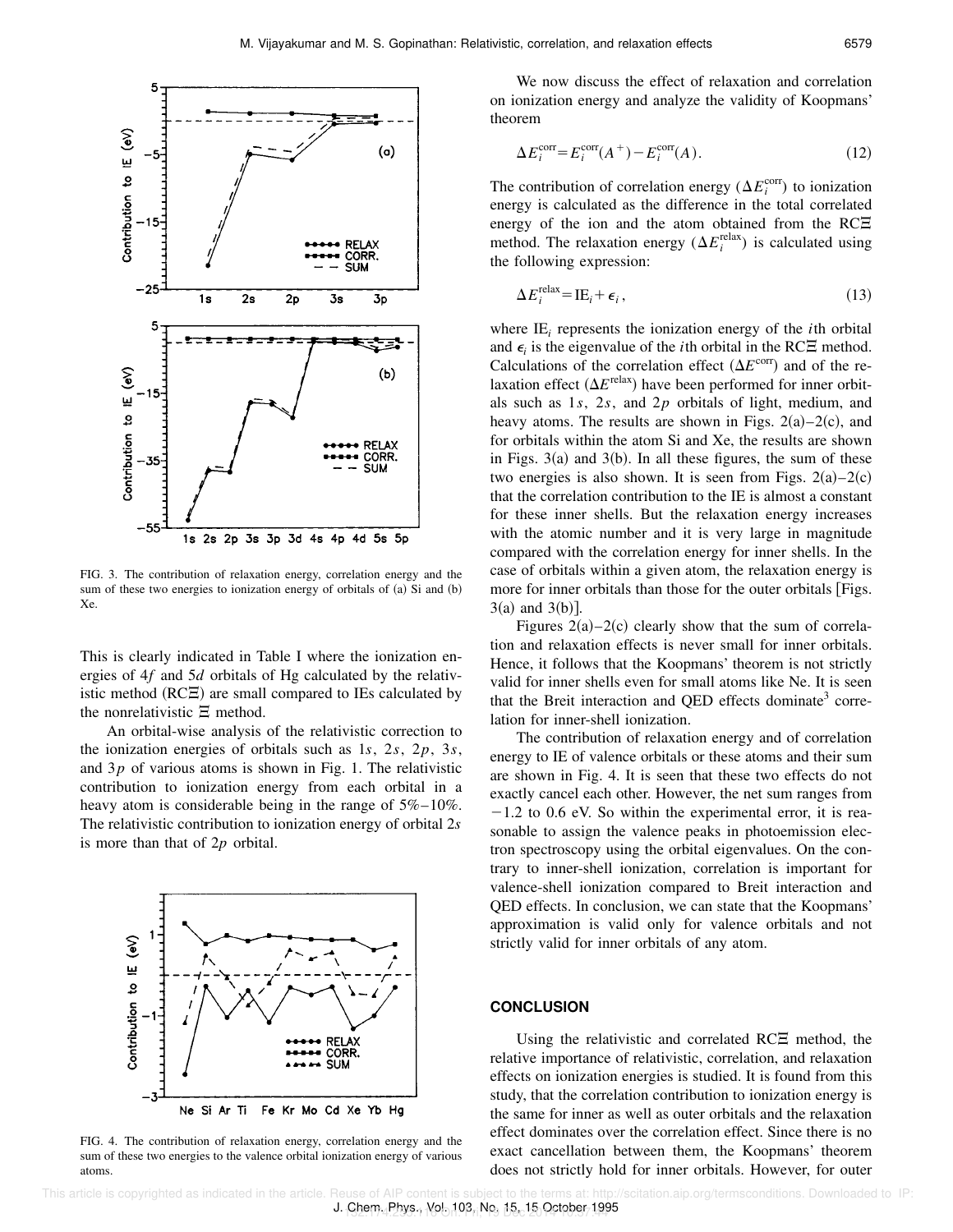

FIG. 3. The contribution of relaxation energy, correlation energy and the sum of these two energies to ionization energy of orbitals of  $(a)$  Si and  $(b)$ Xe.

This is clearly indicated in Table I where the ionization energies of 4*f* and 5*d* orbitals of Hg calculated by the relativistic method  $(RCE)$  are small compared to IEs calculated by the nonrelativistic  $\Xi$  method.

An orbital-wise analysis of the relativistic correction to the ionization energies of orbitals such as 1*s*, 2*s*, 2*p*, 3*s*, and 3*p* of various atoms is shown in Fig. 1. The relativistic contribution to ionization energy from each orbital in a heavy atom is considerable being in the range of  $5\% - 10\%$ . The relativistic contribution to ionization energy of orbital 2*s* is more than that of 2*p* orbital.



FIG. 4. The contribution of relaxation energy, correlation energy and the sum of these two energies to the valence orbital ionization energy of various atoms.

We now discuss the effect of relaxation and correlation on ionization energy and analyze the validity of Koopmans' theorem

$$
\Delta E_i^{\text{corr}} = E_i^{\text{corr}}(A^+) - E_i^{\text{corr}}(A). \tag{12}
$$

The contribution of correlation energy ( $\Delta E_i^{\text{corr}}$ ) to ionization energy is calculated as the difference in the total correlated energy of the ion and the atom obtained from the RC $\Xi$ method. The relaxation energy  $(\Delta E_i^{\text{relax}})$  is calculated using the following expression:

$$
\Delta E_i^{\text{relax}} = \text{IE}_i + \epsilon_i, \tag{13}
$$

where  $IE_i$  represents the ionization energy of the *i*th orbital and  $\epsilon_i$  is the eigenvalue of the *i*th orbital in the RC $\Xi$  method. Calculations of the correlation effect  $(\Delta E^{\text{corr}})$  and of the relaxation effect  $(\Delta E^{\text{relax}})$  have been performed for inner orbitals such as 1*s*, 2*s*, and 2*p* orbitals of light, medium, and heavy atoms. The results are shown in Figs.  $2(a)-2(c)$ , and for orbitals within the atom Si and Xe, the results are shown in Figs.  $3(a)$  and  $3(b)$ . In all these figures, the sum of these two energies is also shown. It is seen from Figs.  $2(a)-2(c)$ that the correlation contribution to the IE is almost a constant for these inner shells. But the relaxation energy increases with the atomic number and it is very large in magnitude compared with the correlation energy for inner shells. In the case of orbitals within a given atom, the relaxation energy is more for inner orbitals than those for the outer orbitals  $[Figs.$  $3(a)$  and  $3(b)$ ].

Figures  $2(a) - 2(c)$  clearly show that the sum of correlation and relaxation effects is never small for inner orbitals. Hence, it follows that the Koopmans' theorem is not strictly valid for inner shells even for small atoms like Ne. It is seen that the Breit interaction and QED effects dominate<sup>3</sup> correlation for inner-shell ionization.

The contribution of relaxation energy and of correlation energy to IE of valence orbitals or these atoms and their sum are shown in Fig. 4. It is seen that these two effects do not exactly cancel each other. However, the net sum ranges from  $-1.2$  to 0.6 eV. So within the experimental error, it is reasonable to assign the valence peaks in photoemission electron spectroscopy using the orbital eigenvalues. On the contrary to inner-shell ionization, correlation is important for valence-shell ionization compared to Breit interaction and QED effects. In conclusion, we can state that the Koopmans' approximation is valid only for valence orbitals and not strictly valid for inner orbitals of any atom.

#### **CONCLUSION**

Using the relativistic and correlated  $RC\Xi$  method, the relative importance of relativistic, correlation, and relaxation effects on ionization energies is studied. It is found from this study, that the correlation contribution to ionization energy is the same for inner as well as outer orbitals and the relaxation effect dominates over the correlation effect. Since there is no exact cancellation between them, the Koopmans' theorem does not strictly hold for inner orbitals. However, for outer

J. Chem. Phys., Yol. 103, No. 15, 15 October 1995 This article is copyrighted as indicated in the article. Reuse of AIP content is subject to the terms at: http://scitation.aip.org/termsconditions. Downloaded to IP: